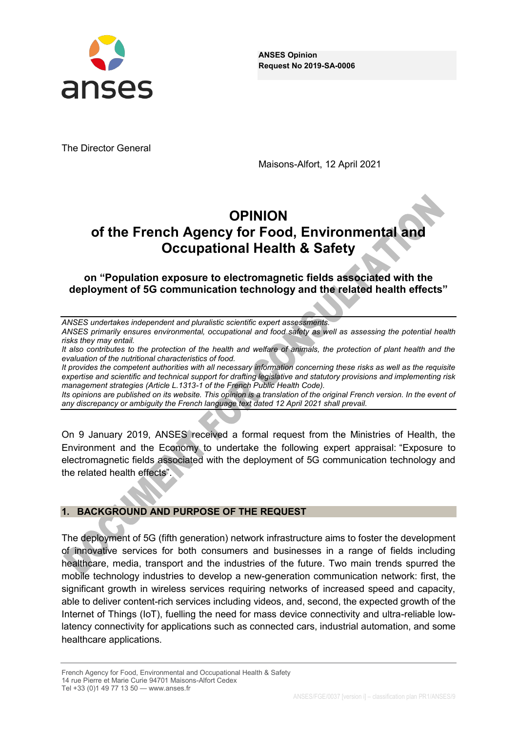

**ANSES Opinion Request No 2019-SA-0006**

The Director General

Maisons-Alfort, 12 April 2021

# **OPINION of the French Agency for Food, Environmental and Occupational Health & Safety**

**on "Population exposure to electromagnetic fields associated with the** deployment of 5G communication technology and the related health effects"

| ANSES undertakes independent and pluralistic scientific expert assessments. |
|-----------------------------------------------------------------------------|
|-----------------------------------------------------------------------------|

*ANSES primarily ensures environmental, occupational and food safety as well as assessing the potential health risks they may entail.*

It also contributes to the protection of the health and welfare of animals, the protection of plant health and the *evaluation of the nutritional characteristics of food.*

*It provides the competent authorities with all necessary information concerning these risks as well as the requisite expertise and scientific and technical support for drafting legislative and statutory provisions and implementing risk management strategies (Article L.1313-1 of the French Public Health Code).* 

*Its opinions are published on its website. This opinion is a translation of the original French version. In the event of any discrepancy or ambiguity the French language text dated 12 April 2021 shall prevail.*

On 9 January 2019, ANSES received a formal request from the Ministries of Health, the Environment and the Economy to undertake the following expert appraisal: "Exposure to electromagnetic fields associated with the deployment of 5G communication technology and the related health effects".

#### **1. BACKGROUND AND PURPOSE OF THE REQUEST**

The deployment of 5G (fifth generation) network infrastructure aims to foster the development of innovative services for both consumers and businesses in a range of fields including healthcare, media, transport and the industries of the future. Two main trends spurred the mobile technology industries to develop a new-generation communication network: first, the significant growth in wireless services requiring networks of increased speed and capacity, able to deliver content-rich services including videos, and, second, the expected growth of the Internet of Things (IoT), fuelling the need for mass device connectivity and ultra-reliable lowlatency connectivity for applications such as connected cars, industrial automation, and some healthcare applications.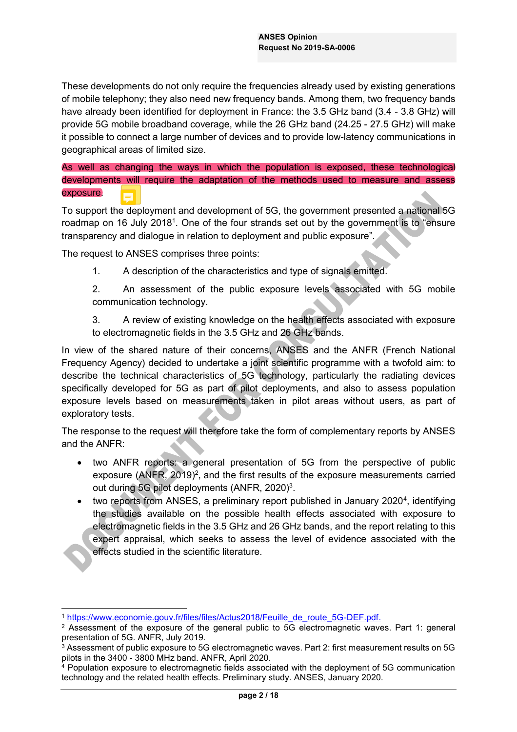These developments do not only require the frequencies already used by existing generations of mobile telephony; they also need new frequency bands. Among them, two frequency bands have already been identified for deployment in France: the 3.5 GHz band (3.4 - 3.8 GHz) will provide 5G mobile broadband coverage, while the 26 GHz band (24.25 - 27.5 GHz) will make it possible to connect a large number of devices and to provide low-latency communications in geographical areas of limited size.

As well as changing the ways in which the population is exposed, these technological developments will require the adaptation of the methods used to measure and assess exposure.

To support the deployment and development of 5G, the government presented a national 5G roadmap on 16 July 2018<sup>1</sup>. One of the four strands set out by the government is to "ensure transparency and dialogue in relation to deployment and public exposure".

The request to ANSES comprises three points:

1. A description of the characteristics and type of signals emitted.

2. An assessment of the public exposure levels associated with 5G mobile communication technology.

3. A review of existing knowledge on the health effects associated with exposure to electromagnetic fields in the 3.5 GHz and 26 GHz bands.

In view of the shared nature of their concerns, ANSES and the ANFR (French National Frequency Agency) decided to undertake a joint scientific programme with a twofold aim: to describe the technical characteristics of 5G technology, particularly the radiating devices specifically developed for 5G as part of pilot deployments, and also to assess population exposure levels based on measurements taken in pilot areas without users, as part of exploratory tests.

The response to the request will therefore take the form of complementary reports by ANSES and the ANFR:

- two ANFR reports: a general presentation of 5G from the perspective of public exposure (ANFR,  $2019)^2$ , and the first results of the exposure measurements carried out during 5G pilot deployments (ANFR, 2020)<sup>3</sup>.
- two reports from ANSES, a preliminary report published in January 2020<sup>4</sup>, identifying the studies available on the possible health effects associated with exposure to electromagnetic fields in the 3.5 GHz and 26 GHz bands, and the report relating to this expert appraisal, which seeks to assess the level of evidence associated with the effects studied in the scientific literature.

 <sup>1</sup> https://www.economie.gouv.fr/files/files/Actus2018/Feuille\_de\_route\_5G-DEF.pdf.

<sup>&</sup>lt;sup>2</sup> Assessment of the exposure of the general public to 5G electromagnetic waves. Part 1: general presentation of 5G. ANFR, July 2019.

<sup>&</sup>lt;sup>3</sup> Assessment of public exposure to 5G electromagnetic waves. Part 2: first measurement results on 5G pilots in the 3400 - 3800 MHz band. ANFR, April 2020.

<sup>&</sup>lt;sup>4</sup> Population exposure to electromagnetic fields associated with the deployment of 5G communication technology and the related health effects. Preliminary study. ANSES, January 2020.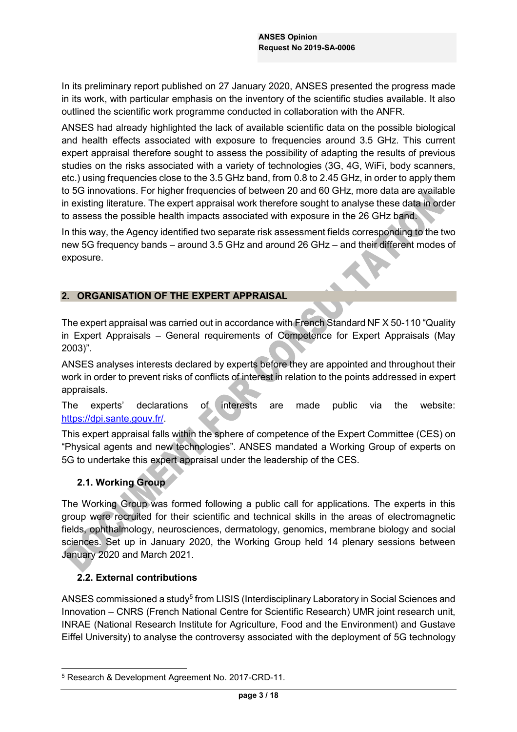In its preliminary report published on 27 January 2020, ANSES presented the progress made in its work, with particular emphasis on the inventory of the scientific studies available. It also outlined the scientific work programme conducted in collaboration with the ANFR.

ANSES had already highlighted the lack of available scientific data on the possible biological and health effects associated with exposure to frequencies around 3.5 GHz. This current expert appraisal therefore sought to assess the possibility of adapting the results of previous studies on the risks associated with a variety of technologies (3G, 4G, WiFi, body scanners, etc.) using frequencies close to the 3.5 GHz band, from 0.8 to 2.45 GHz, in order to apply them to 5G innovations. For higher frequencies of between 20 and 60 GHz, more data are available in existing literature. The expert appraisal work therefore sought to analyse these data in order to assess the possible health impacts associated with exposure in the 26 GHz band.

In this way, the Agency identified two separate risk assessment fields corresponding to the two new 5G frequency bands  $-$  around 3.5 GHz and around 26 GHz  $-$  and their different modes of exposure.

#### **2. ORGANISATION OF THE EXPERT APPRAISAL**

The expert appraisal was carried out in accordance with French Standard NF X 50-110 "Quality in Expert Appraisals - General requirements of Competence for Expert Appraisals (May  $2003$ <sup>"</sup>.

ANSES analyses interests declared by experts before they are appointed and throughout their work in order to prevent risks of conflicts of interest in relation to the points addressed in expert appraisals.

## The experts' declarations of interests are made public via the website: https://dpi.sante.gouv.fr/.

This expert appraisal falls within the sphere of competence of the Expert Committee (CES) on "Physical agents and new technologies". ANSES mandated a Working Group of experts on 5G to undertake this expert appraisal under the leadership of the CES.

# **2.1. Working Group**

The Working Group was formed following a public call for applications. The experts in this group were recruited for their scientific and technical skills in the areas of electromagnetic fields, ophthalmology, neurosciences, dermatology, genomics, membrane biology and social sciences. Set up in January 2020, the Working Group held 14 plenary sessions between January 2020 and March 2021.

# **2.2. External contributions**

ANSES commissioned a study<sup>5</sup> from LISIS (Interdisciplinary Laboratory in Social Sciences and Innovation - CNRS (French National Centre for Scientific Research) UMR joint research unit, INRAE (National Research Institute for Agriculture, Food and the Environment) and Gustave Eiffel University) to analyse the controversy associated with the deployment of 5G technology

 <sup>5</sup> Research & Development Agreement No. 2017-CRD-11.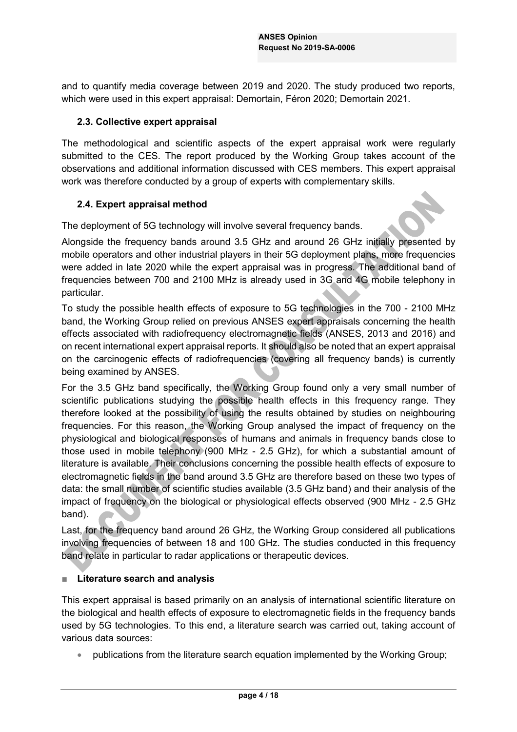and to quantify media coverage between 2019 and 2020. The study produced two reports, which were used in this expert appraisal: Demortain, Féron 2020; Demortain 2021.

## **2.3. Collective expert appraisal**

The methodological and scientific aspects of the expert appraisal work were regularly submitted to the CES. The report produced by the Working Group takes account of the observations and additional information discussed with CES members. This expert appraisal work was therefore conducted by a group of experts with complementary skills.

## **2.4. Expert appraisal method**

The deployment of 5G technology will involve several frequency bands.

Alongside the frequency bands around 3.5 GHz and around 26 GHz initially presented by mobile operators and other industrial players in their 5G deployment plans, more frequencies were added in late 2020 while the expert appraisal was in progress. The additional band of frequencies between 700 and 2100 MHz is already used in 3G and 4G mobile telephony in particular.

To study the possible health effects of exposure to 5G technologies in the 700 - 2100 MHz band, the Working Group relied on previous ANSES expert appraisals concerning the health effects associated with radiofrequency electromagnetic fields (ANSES, 2013 and 2016) and on recent international expert appraisal reports. It should also be noted that an expert appraisal on the carcinogenic effects of radiofrequencies (covering all frequency bands) is currently being examined by ANSES.

For the 3.5 GHz band specifically, the Working Group found only a very small number of scientific publications studying the possible health effects in this frequency range. They therefore looked at the possibility of using the results obtained by studies on neighbouring frequencies. For this reason, the Working Group analysed the impact of frequency on the physiological and biological responses of humans and animals in frequency bands close to those used in mobile telephony (900 MHz - 2.5 GHz), for which a substantial amount of literature is available. Their conclusions concerning the possible health effects of exposure to electromagnetic fields in the band around 3.5 GHz are therefore based on these two types of data: the small number of scientific studies available (3.5 GHz band) and their analysis of the impact of frequency on the biological or physiological effects observed (900 MHz - 2.5 GHz band).

Last, for the frequency band around 26 GHz, the Working Group considered all publications involving frequencies of between 18 and 100 GHz. The studies conducted in this frequency band relate in particular to radar applications or therapeutic devices.

# **E** Literature search and analysis

This expert appraisal is based primarily on an analysis of international scientific literature on the biological and health effects of exposure to electromagnetic fields in the frequency bands used by 5G technologies. To this end, a literature search was carried out, taking account of various data sources:

• publications from the literature search equation implemented by the Working Group;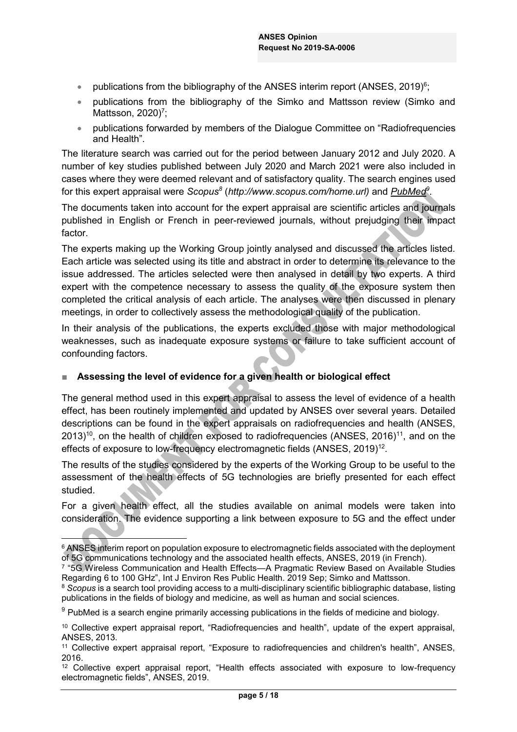- publications from the bibliography of the ANSES interim report (ANSES, 2019)<sup>6</sup>;
- publications from the bibliography of the Simko and Mattsson review (Simko and Mattsson, 2020)<sup>7</sup>;
- publications forwarded by members of the Dialogue Committee on "Radiofrequencies" and Health".

The literature search was carried out for the period between January 2012 and July 2020. A number of key studies published between July 2020 and March 2021 were also included in cases where they were deemed relevant and of satisfactory quality. The search engines used for this expert appraisal were *Scopus*<sup>8</sup> (http://www.scopus.com/home.url) and *PubMed*<sup>9</sup>.

The documents taken into account for the expert appraisal are scientific articles and journals published in English or French in peer-reviewed journals, without prejudging their impact factor.

The experts making up the Working Group jointly analysed and discussed the articles listed. Each article was selected using its title and abstract in order to determine its relevance to the issue addressed. The articles selected were then analysed in detail by two experts. A third expert with the competence necessary to assess the quality of the exposure system then completed the critical analysis of each article. The analyses were then discussed in plenary meetings, in order to collectively assess the methodological quality of the publication.

In their analysis of the publications, the experts excluded those with major methodological weaknesses, such as inadequate exposure systems or failure to take sufficient account of confounding factors.

# **EXECT:** Assessing the level of evidence for a given health or biological effect

The general method used in this expert appraisal to assess the level of evidence of a health effect, has been routinely implemented and updated by ANSES over several years. Detailed descriptions can be found in the expert appraisals on radiofrequencies and health (ANSES,  $2013$ <sup>10</sup>, on the health of children exposed to radiofrequencies (ANSES, 2016)<sup>11</sup>, and on the effects of exposure to low-frequency electromagnetic fields (ANSES, 2019)12.

The results of the studies considered by the experts of the Working Group to be useful to the assessment of the health effects of 5G technologies are briefly presented for each effect studied.

For a given health effect, all the studies available on animal models were taken into consideration. The evidence supporting a link between exposure to 5G and the effect under

<sup>&</sup>lt;sup>6</sup> ANSES interim report on population exposure to electromagnetic fields associated with the deployment of 5G communications technology and the associated health effects, ANSES, 2019 (in French).

<sup>&</sup>lt;sup>7</sup> "5G Wireless Communication and Health Effects—A Pragmatic Review Based on Available Studies Regarding 6 to 100 GHz", Int J Environ Res Public Health, 2019 Sep: Simko and Mattsson.

<sup>8</sup> *Scopus* is a search tool providing access to a multi-disciplinary scientific bibliographic database, listing publications in the fields of biology and medicine, as well as human and social sciences.

<sup>9</sup> PubMed is a search engine primarily accessing publications in the fields of medicine and biology.

<sup>&</sup>lt;sup>10</sup> Collective expert appraisal report, "Radiofrequencies and health", update of the expert appraisal, ANSES, 2013.

<sup>&</sup>lt;sup>11</sup> Collective expert appraisal report, "Exposure to radiofrequencies and children's health", ANSES, 2016.

<sup>&</sup>lt;sup>12</sup> Collective expert appraisal report, "Health effects associated with exposure to low-frequency electromagnetic fields", ANSES, 2019.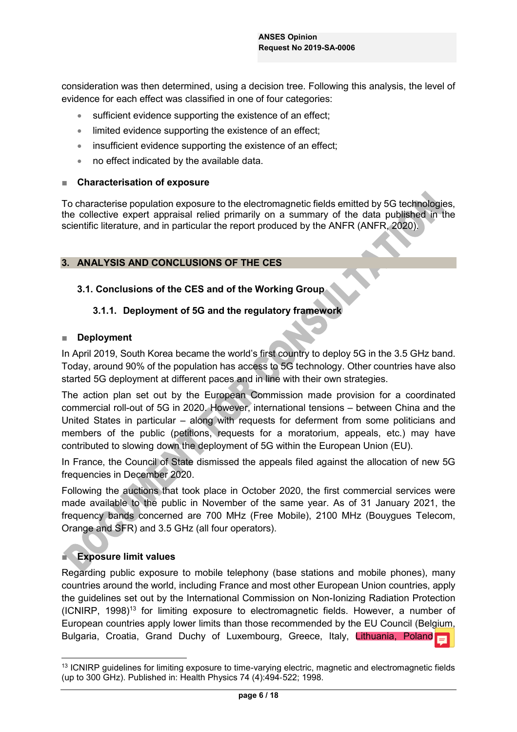consideration was then determined, using a decision tree. Following this analysis, the level of evidence for each effect was classified in one of four categories:

- $\bullet$  sufficient evidence supporting the existence of an effect;
- $\bullet$  limited evidence supporting the existence of an effect;
- $\bullet$  insufficient evidence supporting the existence of an effect;
- $\bullet$  no effect indicated by the available data.

#### **Characterisation of exposure**

To characterise population exposure to the electromagnetic fields emitted by 5G technologies, the collective expert appraisal relied primarily on a summary of the data published in the scientific literature, and in particular the report produced by the ANFR (ANFR, 2020).

#### **3. ANALYSIS AND CONCLUSIONS OF THE CES**

## **3.1. Conclusions of the CES and of the Working Group**

## **3.1.1. Deployment of 5G and the regulatory framework**

#### **Deployment**

In April 2019, South Korea became the world's first country to deploy 5G in the 3.5 GHz band. Today, around 90% of the population has access to 5G technology. Other countries have also started 5G deployment at different paces and in line with their own strategies.

The action plan set out by the European Commission made provision for a coordinated commercial roll-out of 5G in 2020. However, international tensions – between China and the United States in particular  $-$  along with requests for deferment from some politicians and members of the public (petitions, requests for a moratorium, appeals, etc.) may have contributed to slowing down the deployment of 5G within the European Union (EU).

In France, the Council of State dismissed the appeals filed against the allocation of new 5G frequencies in December 2020.

Following the auctions that took place in October 2020, the first commercial services were made available to the public in November of the same year. As of 31 January 2021, the frequency bands concerned are 700 MHz (Free Mobile), 2100 MHz (Bouygues Telecom, Orange and SFR) and 3.5 GHz (all four operators).

# **Exposure limit values**

Regarding public exposure to mobile telephony (base stations and mobile phones), many countries around the world, including France and most other European Union countries, apply the guidelines set out by the International Commission on Non-Ionizing Radiation Protection  $(ICNIRP, 1998)^{13}$  for limiting exposure to electromagnetic fields. However, a number of European countries apply lower limits than those recommended by the EU Council (Belgium, Bulgaria, Croatia, Grand Duchy of Luxembourg, Greece, Italy, Lithuania, Poland

<sup>&</sup>lt;sup>13</sup> ICNIRP guidelines for limiting exposure to time-varying electric, magnetic and electromagnetic fields (up to 300 GHz). Published in: Health Physics 74 (4):494‐522; 1998.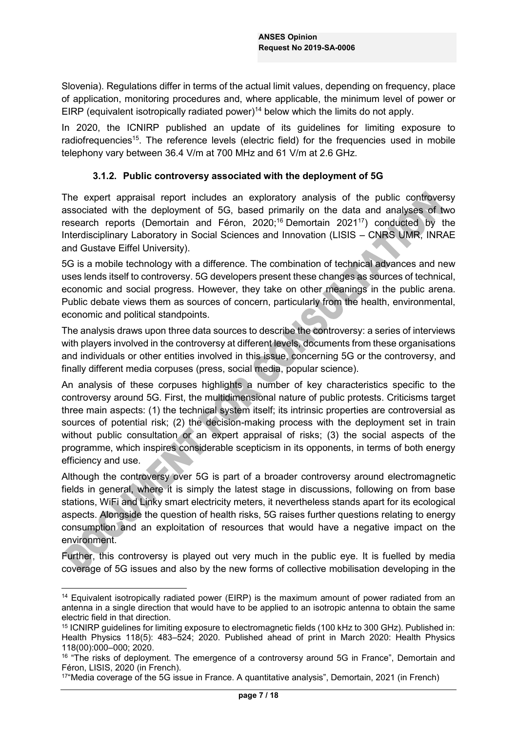Slovenia). Regulations differ in terms of the actual limit values, depending on frequency, place of application, monitoring procedures and, where applicable, the minimum level of power or EIRP (equivalent isotropically radiated power)<sup>14</sup> below which the limits do not apply.

In 2020, the ICNIRP published an update of its guidelines for limiting exposure to radiofrequencies<sup>15</sup>. The reference levels (electric field) for the frequencies used in mobile telephony vary between 36.4 V/m at 700 MHz and 61 V/m at 2.6 GHz.

## **3.1.2. Public controversy associated with the deployment of 5G**

The expert appraisal report includes an exploratory analysis of the public controversy associated with the deployment of 5G, based primarily on the data and analyses of two research reports (Demortain and Féron, 2020;<sup>16</sup> Demortain 2021<sup>17</sup>) conducted by the Interdisciplinary Laboratory in Social Sciences and Innovation (LISIS - CNRS UMR, INRAE and Gustave Eiffel University).

5G is a mobile technology with a difference. The combination of technical advances and new uses lends itself to controversy. 5G developers present these changes as sources of technical, economic and social progress. However, they take on other meanings in the public arena. Public debate views them as sources of concern, particularly from the health, environmental, economic and political standpoints.

The analysis draws upon three data sources to describe the controversy: a series of interviews with players involved in the controversy at different levels, documents from these organisations and individuals or other entities involved in this issue, concerning 5G or the controversy, and finally different media corpuses (press, social media, popular science).

An analysis of these corpuses highlights a number of key characteristics specific to the controversy around 5G. First, the multidimensional nature of public protests. Criticisms target three main aspects: (1) the technical system itself; its intrinsic properties are controversial as sources of potential risk; (2) the decision-making process with the deployment set in train without public consultation or an expert appraisal of risks; (3) the social aspects of the programme, which inspires considerable scepticism in its opponents, in terms of both energy efficiency and use.

Although the controversy over 5G is part of a broader controversy around electromagnetic fields in general, where it is simply the latest stage in discussions, following on from base stations, WiFi and Linky smart electricity meters, it nevertheless stands apart for its ecological aspects. Alongside the question of health risks, 5G raises further questions relating to energy consumption and an exploitation of resources that would have a negative impact on the environment.

Further, this controversy is played out very much in the public eye. It is fuelled by media coverage of 5G issues and also by the new forms of collective mobilisation developing in the

<sup>&</sup>lt;sup>14</sup> Equivalent isotropically radiated power (EIRP) is the maximum amount of power radiated from an antenna in a single direction that would have to be applied to an isotropic antenna to obtain the same electric field in that direction.

<sup>15</sup> ICNIRP guidelines for limiting exposure to electromagnetic fields (100 kHz to 300 GHz). Published in: Health Physics 118(5): 483-524; 2020. Published ahead of print in March 2020: Health Physics 118(00):000±000; 2020.

 $16$  "The risks of deployment. The emergence of a controversy around 5G in France", Demortain and Féron, LISIS, 2020 (in French).

 $174$ Media coverage of the 5G issue in France. A quantitative analysis", Demortain, 2021 (in French)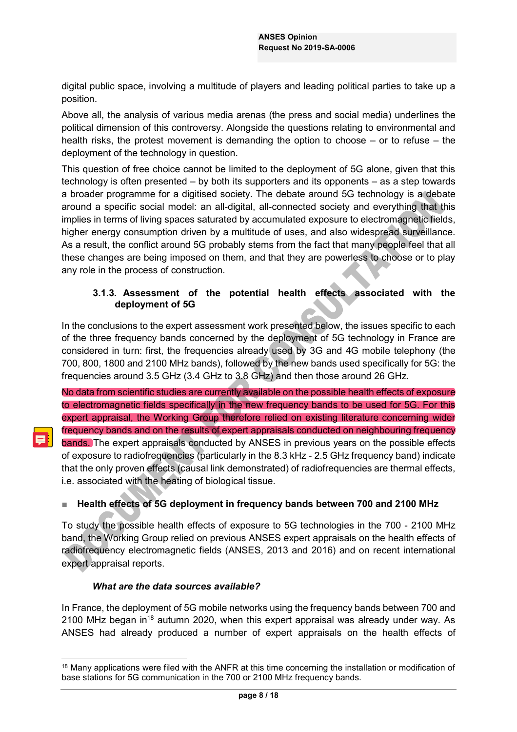digital public space, involving a multitude of players and leading political parties to take up a position.

Above all, the analysis of various media arenas (the press and social media) underlines the political dimension of this controversy. Alongside the questions relating to environmental and health risks, the protest movement is demanding the option to choose  $-$  or to refuse  $-$  the deployment of the technology in question.

This question of free choice cannot be limited to the deployment of 5G alone, given that this technology is often presented  $-$  by both its supporters and its opponents  $-$  as a step towards a broader programme for a digitised society. The debate around 5G technology is a debate around a specific social model: an all-digital, all-connected society and everything that this implies in terms of living spaces saturated by accumulated exposure to electromagnetic fields, higher energy consumption driven by a multitude of uses, and also widespread surveillance. As a result, the conflict around 5G probably stems from the fact that many people feel that all these changes are being imposed on them, and that they are powerless to choose or to play any role in the process of construction.

# **3.1.3. Assessment of the potential health effects associated with the deployment of 5G**

In the conclusions to the expert assessment work presented below, the issues specific to each of the three frequency bands concerned by the deployment of 5G technology in France are considered in turn: first, the frequencies already used by 3G and 4G mobile telephony (the 700, 800, 1800 and 2100 MHz bands), followed by the new bands used specifically for 5G: the frequencies around 3.5 GHz (3.4 GHz to 3.8 GHz) and then those around 26 GHz.

No data from scientific studies are currently available on the possible health effects of exposure to electromagnetic fields specifically in the new frequency bands to be used for 5G. For this expert appraisal, the Working Group therefore relied on existing literature concerning wider frequency bands and on the results of expert appraisals conducted on neighbouring frequency bands. The expert appraisals conducted by ANSES in previous years on the possible effects of exposure to radiofrequencies (particularly in the 8.3 kHz - 2.5 GHz frequency band) indicate that the only proven effects (causal link demonstrated) of radiofrequencies are thermal effects, i.e. associated with the heating of biological tissue.

# **EXECTE Health effects of 5G deployment in frequency bands between 700 and 2100 MHz**

To study the possible health effects of exposure to 5G technologies in the 700 - 2100 MHz band, the Working Group relied on previous ANSES expert appraisals on the health effects of radiofrequency electromagnetic fields (ANSES, 2013 and 2016) and on recent international expert appraisal reports.

#### *What are the data sources available?*

In France, the deployment of 5G mobile networks using the frequency bands between 700 and 2100 MHz began in<sup>18</sup> autumn 2020, when this expert appraisal was already under way. As ANSES had already produced a number of expert appraisals on the health effects of

<sup>&</sup>lt;sup>18</sup> Many applications were filed with the ANFR at this time concerning the installation or modification of base stations for 5G communication in the 700 or 2100 MHz frequency bands.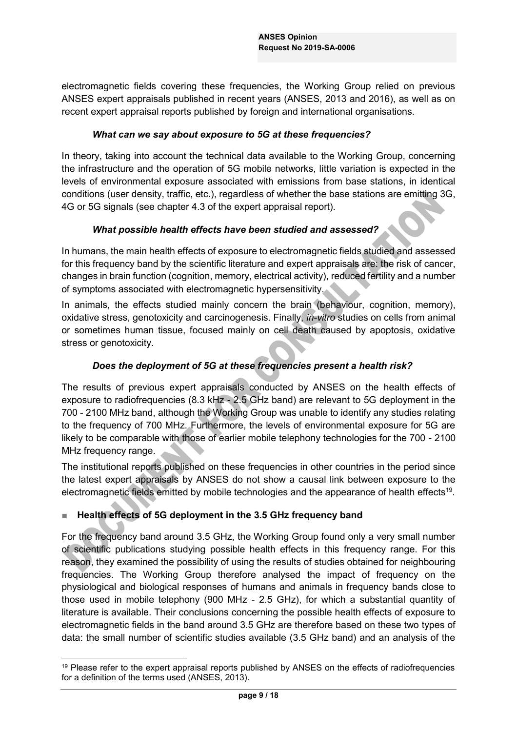electromagnetic fields covering these frequencies, the Working Group relied on previous ANSES expert appraisals published in recent years (ANSES, 2013 and 2016), as well as on recent expert appraisal reports published by foreign and international organisations.

#### *What can we say about exposure to 5G at these frequencies?*

In theory, taking into account the technical data available to the Working Group, concerning the infrastructure and the operation of 5G mobile networks, little variation is expected in the levels of environmental exposure associated with emissions from base stations, in identical conditions (user density, traffic, etc.), regardless of whether the base stations are emitting 3G, 4G or 5G signals (see chapter 4.3 of the expert appraisal report).

#### *What possible health effects have been studied and assessed?*

In humans, the main health effects of exposure to electromagnetic fields studied and assessed for this frequency band by the scientific literature and expert appraisals are: the risk of cancer, changes in brain function (cognition, memory, electrical activity), reduced fertility and a number of symptoms associated with electromagnetic hypersensitivity.

In animals, the effects studied mainly concern the brain (behaviour, cognition, memory), oxidative stress, genotoxicity and carcinogenesis. Finally, *in-vitro* studies on cells from animal or sometimes human tissue, focused mainly on cell death caused by apoptosis, oxidative stress or genotoxicity.

# *Does the deployment of 5G at these frequencies present a health risk?*

The results of previous expert appraisals conducted by ANSES on the health effects of exposure to radiofrequencies (8.3 kHz - 2.5 GHz band) are relevant to 5G deployment in the 700 - 2100 MHz band, although the Working Group was unable to identify any studies relating to the frequency of 700 MHz. Furthermore, the levels of environmental exposure for 5G are likely to be comparable with those of earlier mobile telephony technologies for the 700 - 2100 MHz frequency range.

The institutional reports published on these frequencies in other countries in the period since the latest expert appraisals by ANSES do not show a causal link between exposure to the electromagnetic fields emitted by mobile technologies and the appearance of health effects<sup>19</sup>.

# **EXECTE Health effects of 5G deployment in the 3.5 GHz frequency band**

For the frequency band around 3.5 GHz, the Working Group found only a very small number of scientific publications studying possible health effects in this frequency range. For this reason, they examined the possibility of using the results of studies obtained for neighbouring frequencies. The Working Group therefore analysed the impact of frequency on the physiological and biological responses of humans and animals in frequency bands close to those used in mobile telephony (900 MHz - 2.5 GHz), for which a substantial quantity of literature is available. Their conclusions concerning the possible health effects of exposure to electromagnetic fields in the band around 3.5 GHz are therefore based on these two types of data: the small number of scientific studies available (3.5 GHz band) and an analysis of the

<sup>&</sup>lt;sup>19</sup> Please refer to the expert appraisal reports published by ANSES on the effects of radiofrequencies for a definition of the terms used (ANSES, 2013).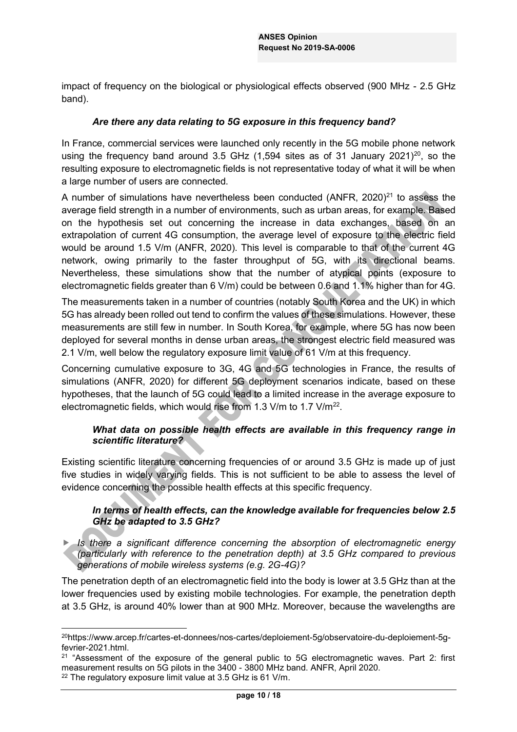impact of frequency on the biological or physiological effects observed (900 MHz - 2.5 GHz band).

#### *Are there any data relating to 5G exposure in this frequency band?*

In France, commercial services were launched only recently in the 5G mobile phone network using the frequency band around 3.5 GHz  $(1,594$  sites as of 31 January 2021)<sup>20</sup>, so the resulting exposure to electromagnetic fields is not representative today of what it will be when a large number of users are connected.

A number of simulations have nevertheless been conducted (ANFR, 2020)<sup>21</sup> to assess the average field strength in a number of environments, such as urban areas, for example. Based on the hypothesis set out concerning the increase in data exchanges, based on an extrapolation of current 4G consumption, the average level of exposure to the electric field would be around 1.5 V/m (ANFR, 2020). This level is comparable to that of the current 4G network, owing primarily to the faster throughput of 5G, with its directional beams. Nevertheless, these simulations show that the number of atypical points (exposure to electromagnetic fields greater than 6 V/m) could be between 0.6 and 1.1% higher than for 4G.

The measurements taken in a number of countries (notably South Korea and the UK) in which 5G has already been rolled out tend to confirm the values of these simulations. However, these measurements are still few in number. In South Korea, for example, where 5G has now been deployed for several months in dense urban areas, the strongest electric field measured was 2.1 V/m, well below the regulatory exposure limit value of 61 V/m at this frequency.

Concerning cumulative exposure to 3G, 4G and 5G technologies in France, the results of simulations (ANFR, 2020) for different 5G deployment scenarios indicate, based on these hypotheses, that the launch of 5G could lead to a limited increase in the average exposure to electromagnetic fields, which would rise from 1.3 V/m to 1.7 V/m<sup>22</sup>.

## *What data on possible health effects are available in this frequency range in scientific literature?*

Existing scientific literature concerning frequencies of or around 3.5 GHz is made up of just five studies in widely varying fields. This is not sufficient to be able to assess the level of evidence concerning the possible health effects at this specific frequency.

## *In terms of health effects, can the knowledge available for frequencies below 2.5 GHz be adapted to 3.5 GHz?*

Is there a significant difference concerning the absorption of electromagnetic energy *(particularly with reference to the penetration depth) at 3.5 GHz compared to previous generations of mobile wireless systems (e.g. 2G-4G)?*

The penetration depth of an electromagnetic field into the body is lower at 3.5 GHz than at the lower frequencies used by existing mobile technologies. For example, the penetration depth at 3.5 GHz, is around 40% lower than at 900 MHz. Moreover, because the wavelengths are

 <sup>20</sup>https://www.arcep.fr/cartes-et-donnees/nos-cartes/deploiement-5g/observatoire-du-deploiement-5gfevrier-2021.html.

<sup>&</sup>lt;sup>21</sup> "Assessment of the exposure of the general public to 5G electromagnetic waves. Part 2: first measurement results on 5G pilots in the 3400 - 3800 MHz band. ANFR, April 2020.

<sup>22</sup> The regulatory exposure limit value at 3.5 GHz is 61 V/m.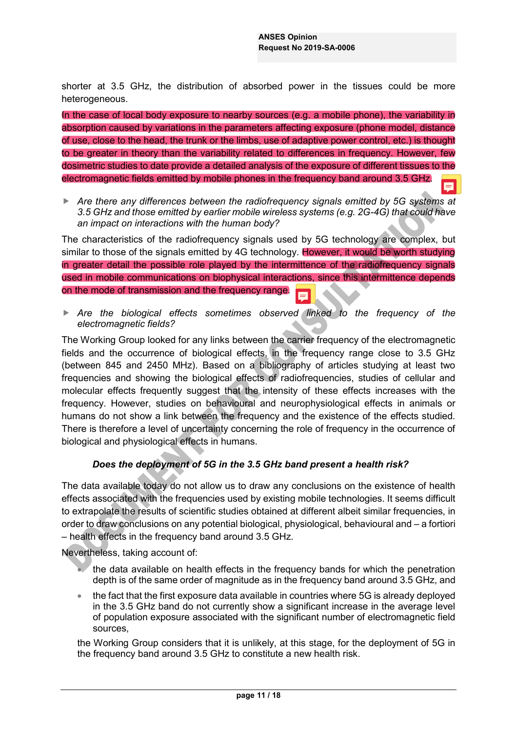shorter at 3.5 GHz, the distribution of absorbed power in the tissues could be more heterogeneous.

In the case of local body exposure to nearby sources (e.g. a mobile phone), the variability in absorption caused by variations in the parameters affecting exposure (phone model, distance of use, close to the head, the trunk or the limbs, use of adaptive power control, etc.) is thought to be greater in theory than the variability related to differences in frequency. However, few dosimetric studies to date provide a detailed analysis of the exposure of different tissues to the electromagnetic fields emitted by mobile phones in the frequency band around 3.5 GHz.

**F** Are there any differences between the radiofrequency signals emitted by 5G systems at *3.5 GHz and those emitted by earlier mobile wireless systems (e.g. 2G-4G) that could have an impact on interactions with the human body?*

The characteristics of the radiofrequency signals used by 5G technology are complex, but similar to those of the signals emitted by 4G technology. However, it would be worth studying in greater detail the possible role played by the intermittence of the radiofrequency signals used in mobile communications on biophysical interactions, since this intermittence depends on the mode of transmission and the frequency range.

**F** Are the biological effects sometimes observed linked to the frequency of the *electromagnetic fields?*

The Working Group looked for any links between the carrier frequency of the electromagnetic fields and the occurrence of biological effects, in the frequency range close to 3.5 GHz (between 845 and 2450 MHz). Based on a bibliography of articles studying at least two frequencies and showing the biological effects of radiofrequencies, studies of cellular and molecular effects frequently suggest that the intensity of these effects increases with the frequency. However, studies on behavioural and neurophysiological effects in animals or humans do not show a link between the frequency and the existence of the effects studied. There is therefore a level of uncertainty concerning the role of frequency in the occurrence of biological and physiological effects in humans.

#### *Does the deployment of 5G in the 3.5 GHz band present a health risk?*

The data available today do not allow us to draw any conclusions on the existence of health effects associated with the frequencies used by existing mobile technologies. It seems difficult to extrapolate the results of scientific studies obtained at different albeit similar frequencies, in order to draw conclusions on any potential biological, physiological, behavioural and  $-$  a fortiori  $-$  health effects in the frequency band around 3.5 GHz.

Nevertheless, taking account of:

- the data available on health effects in the frequency bands for which the penetration depth is of the same order of magnitude as in the frequency band around 3.5 GHz, and
- x the fact that the first exposure data available in countries where 5G is already deployed in the 3.5 GHz band do not currently show a significant increase in the average level of population exposure associated with the significant number of electromagnetic field sources,

the Working Group considers that it is unlikely, at this stage, for the deployment of 5G in the frequency band around 3.5 GHz to constitute a new health risk.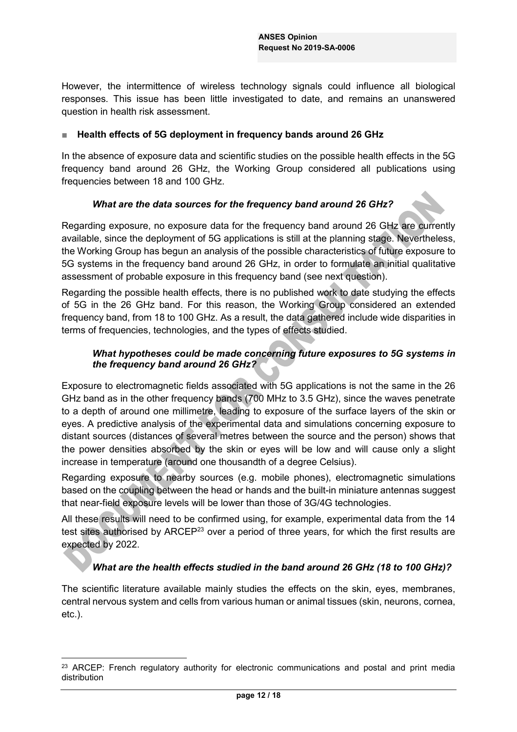However, the intermittence of wireless technology signals could influence all biological responses. This issue has been little investigated to date, and remains an unanswered question in health risk assessment.

#### Ŷ **Health effects of 5G deployment in frequency bands around 26 GHz**

In the absence of exposure data and scientific studies on the possible health effects in the 5G frequency band around 26 GHz, the Working Group considered all publications using frequencies between 18 and 100 GHz.

#### *What are the data sources for the frequency band around 26 GHz?*

Regarding exposure, no exposure data for the frequency band around 26 GHz are currently available, since the deployment of 5G applications is still at the planning stage. Nevertheless, the Working Group has begun an analysis of the possible characteristics of future exposure to 5G systems in the frequency band around 26 GHz, in order to formulate an initial qualitative assessment of probable exposure in this frequency band (see next question).

Regarding the possible health effects, there is no published work to date studying the effects of 5G in the 26 GHz band. For this reason, the Working Group considered an extended frequency band, from 18 to 100 GHz. As a result, the data gathered include wide disparities in terms of frequencies, technologies, and the types of effects studied.

# *What hypotheses could be made concerning future exposures to 5G systems in the frequency band around 26 GHz?*

Exposure to electromagnetic fields associated with 5G applications is not the same in the 26 GHz band as in the other frequency bands (700 MHz to 3.5 GHz), since the waves penetrate to a depth of around one millimetre, leading to exposure of the surface layers of the skin or eyes. A predictive analysis of the experimental data and simulations concerning exposure to distant sources (distances of several metres between the source and the person) shows that the power densities absorbed by the skin or eyes will be low and will cause only a slight increase in temperature (around one thousandth of a degree Celsius).

Regarding exposure to nearby sources (e.g. mobile phones), electromagnetic simulations based on the coupling between the head or hands and the built-in miniature antennas suggest that near-field exposure levels will be lower than those of 3G/4G technologies.

All these results will need to be confirmed using, for example, experimental data from the 14 test sites authorised by ARCEP<sup>23</sup> over a period of three years, for which the first results are expected by 2022.

#### *What are the health effects studied in the band around 26 GHz (18 to 100 GHz)?*

The scientific literature available mainly studies the effects on the skin, eyes, membranes, central nervous system and cells from various human or animal tissues (skin, neurons, cornea, etc.).

<sup>&</sup>lt;sup>23</sup> ARCEP: French regulatory authority for electronic communications and postal and print media distribution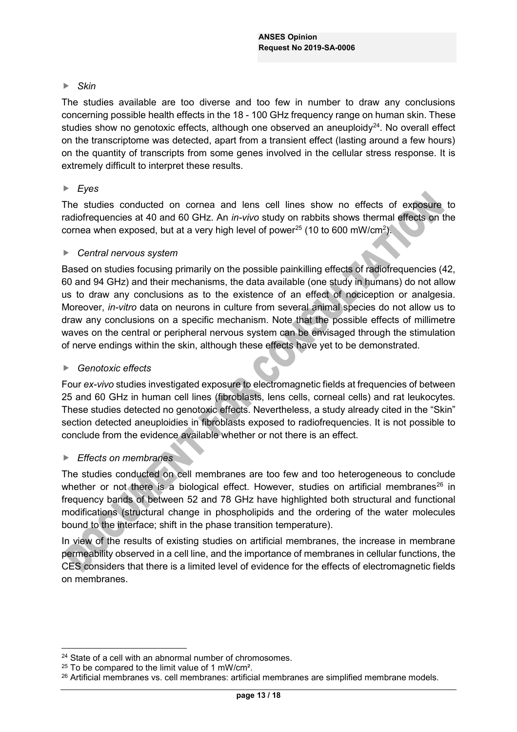# $\blacktriangleright$  *Skin*

The studies available are too diverse and too few in number to draw any conclusions concerning possible health effects in the 18 - 100 GHz frequency range on human skin. These studies show no genotoxic effects, although one observed an aneuploidy $24$ . No overall effect on the transcriptome was detected, apart from a transient effect (lasting around a few hours) on the quantity of transcripts from some genes involved in the cellular stress response. It is extremely difficult to interpret these results.

## f *Eyes*

The studies conducted on cornea and lens cell lines show no effects of exposure to radiofrequencies at 40 and 60 GHz. An *in-vivo* study on rabbits shows thermal effects on the cornea when exposed, but at a very high level of power<sup>25</sup> (10 to 600 mW/cm<sup>2</sup>).

#### **F** *Central nervous system*

Based on studies focusing primarily on the possible painkilling effects of radiofrequencies (42, 60 and 94 GHz) and their mechanisms, the data available (one study in humans) do not allow us to draw any conclusions as to the existence of an effect of nociception or analgesia. Moreover, *in-vitro* data on neurons in culture from several animal species do not allow us to draw any conclusions on a specific mechanism. Note that the possible effects of millimetre waves on the central or peripheral nervous system can be envisaged through the stimulation of nerve endings within the skin, although these effects have yet to be demonstrated.

#### ▶ Genotoxic effects

Four *ex-vivo* studies investigated exposure to electromagnetic fields at frequencies of between 25 and 60 GHz in human cell lines (fibroblasts, lens cells, corneal cells) and rat leukocytes. These studies detected no genotoxic effects. Nevertheless, a study already cited in the "Skin" section detected aneuploidies in fibroblasts exposed to radiofrequencies. It is not possible to conclude from the evidence available whether or not there is an effect.

#### **F** *Effects on membranes*

The studies conducted on cell membranes are too few and too heterogeneous to conclude whether or not there is a biological effect. However, studies on artificial membranes<sup>26</sup> in frequency bands of between 52 and 78 GHz have highlighted both structural and functional modifications (structural change in phospholipids and the ordering of the water molecules bound to the interface; shift in the phase transition temperature).

In view of the results of existing studies on artificial membranes, the increase in membrane permeability observed in a cell line, and the importance of membranes in cellular functions, the CES considers that there is a limited level of evidence for the effects of electromagnetic fields on membranes.

<sup>&</sup>lt;sup>24</sup> State of a cell with an abnormal number of chromosomes.

<sup>&</sup>lt;sup>25</sup> To be compared to the limit value of 1 mW/cm<sup>2</sup>.

<sup>26</sup> Artificial membranes vs. cell membranes: artificial membranes are simplified membrane models.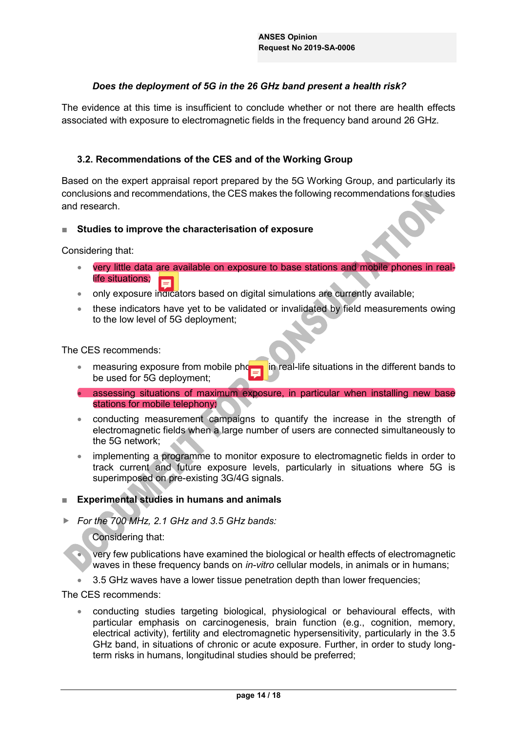# *Does the deployment of 5G in the 26 GHz band present a health risk?*

The evidence at this time is insufficient to conclude whether or not there are health effects associated with exposure to electromagnetic fields in the frequency band around 26 GHz.

#### **3.2. Recommendations of the CES and of the Working Group**

Based on the expert appraisal report prepared by the 5G Working Group, and particularly its conclusions and recommendations, the CES makes the following recommendations for studies and research.

#### **EXECUTE: Studies to improve the characterisation of exposure**

Considering that:

- very little data are available on exposure to base stations and mobile phones in reallife situations; Е
- only exposure indicators based on digital simulations are currently available;
- these indicators have yet to be validated or invalidated by field measurements owing to the low level of 5G deployment;

The CES recommends:

- $\bullet$  measuring exposure from mobile phonormian in real-life situations in the different bands to be used for 5G deployment;
- **assessing situations of maximum exposure, in particular when installing new base** stations for mobile telephony;
- conducting measurement campaigns to quantify the increase in the strength of electromagnetic fields when a large number of users are connected simultaneously to the 5G network;
- implementing a programme to monitor exposure to electromagnetic fields in order to track current and future exposure levels, particularly in situations where 5G is superimposed on pre-existing 3G/4G signals.

#### **Experimental studies in humans and animals**

f *For the 700 MHz, 2.1 GHz and 3.5 GHz bands:*

Considering that:

x very few publications have examined the biological or health effects of electromagnetic waves in these frequency bands on *in-vitro* cellular models, in animals or in humans;

3.5 GHz waves have a lower tissue penetration depth than lower frequencies;

The CES recommends:

• conducting studies targeting biological, physiological or behavioural effects, with particular emphasis on carcinogenesis, brain function (e.g., cognition, memory, electrical activity), fertility and electromagnetic hypersensitivity, particularly in the 3.5 GHz band, in situations of chronic or acute exposure. Further, in order to study longterm risks in humans, longitudinal studies should be preferred;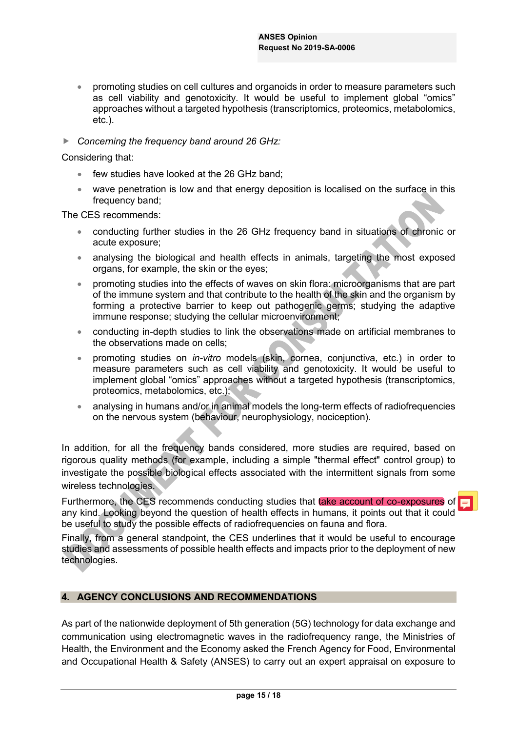- promoting studies on cell cultures and organoids in order to measure parameters such as cell viability and genotoxicity. It would be useful to implement global "omics" approaches without a targeted hypothesis (transcriptomics, proteomics, metabolomics, etc.).
- ▶ <b>Concerning the frequency band around 26 GHz:</b>

Considering that:

- $\bullet$  few studies have looked at the 26 GHz band:
- wave penetration is low and that energy deposition is localised on the surface in this frequency band;

The CES recommends:

- conducting further studies in the 26 GHz frequency band in situations of chronic or acute exposure;
- analysing the biological and health effects in animals, targeting the most exposed organs, for example, the skin or the eyes;
- **•** promoting studies into the effects of waves on skin flora: microorganisms that are part of the immune system and that contribute to the health of the skin and the organism by forming a protective barrier to keep out pathogenic germs; studying the adaptive immune response; studying the cellular microenvironment;
- conducting in-depth studies to link the observations made on artificial membranes to the observations made on cells;
- x promoting studies on *in-vitro* models (skin, cornea, conjunctiva, etc.) in order to measure parameters such as cell viability and genotoxicity. It would be useful to implement global "omics" approaches without a targeted hypothesis (transcriptomics, proteomics, metabolomics, etc.);
- **Example 2** analysing in humans and/or in animal models the long-term effects of radiofrequencies on the nervous system (behaviour, neurophysiology, nociception).

In addition, for all the frequency bands considered, more studies are required, based on rigorous quality methods (for example, including a simple "thermal effect" control group) to investigate the possible biological effects associated with the intermittent signals from some wireless technologies.

Furthermore, the CES recommends conducting studies that take account of co-exposures of any kind. Looking beyond the question of health effects in humans, it points out that it could be useful to study the possible effects of radiofrequencies on fauna and flora.

Finally, from a general standpoint, the CES underlines that it would be useful to encourage studies and assessments of possible health effects and impacts prior to the deployment of new technologies.

#### **4. AGENCY CONCLUSIONS AND RECOMMENDATIONS**

As part of the nationwide deployment of 5th generation (5G) technology for data exchange and communication using electromagnetic waves in the radiofrequency range, the Ministries of Health, the Environment and the Economy asked the French Agency for Food, Environmental and Occupational Health & Safety (ANSES) to carry out an expert appraisal on exposure to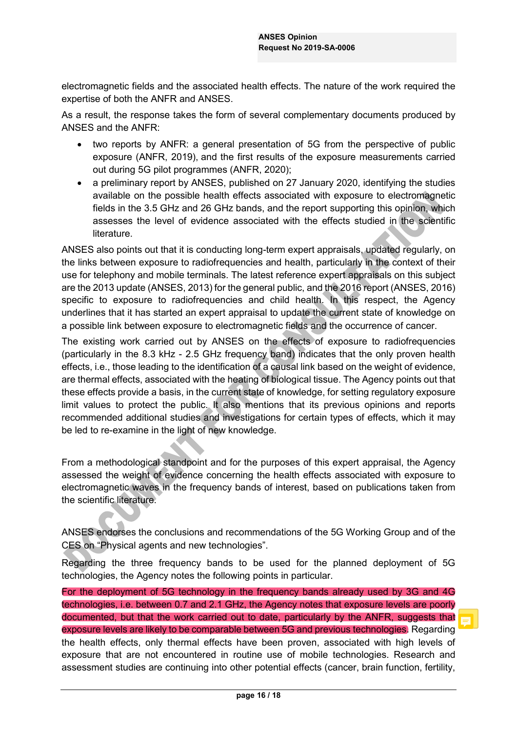electromagnetic fields and the associated health effects. The nature of the work required the expertise of both the ANFR and ANSES.

As a result, the response takes the form of several complementary documents produced by ANSES and the ANFR:

- two reports by ANFR: a general presentation of 5G from the perspective of public exposure (ANFR, 2019), and the first results of the exposure measurements carried out during 5G pilot programmes (ANFR, 2020);
- a preliminary report by ANSES, published on 27 January 2020, identifying the studies available on the possible health effects associated with exposure to electromagnetic fields in the 3.5 GHz and 26 GHz bands, and the report supporting this opinion, which assesses the level of evidence associated with the effects studied in the scientific literature.

ANSES also points out that it is conducting long-term expert appraisals, updated regularly, on the links between exposure to radiofrequencies and health, particularly in the context of their use for telephony and mobile terminals. The latest reference expert appraisals on this subject are the 2013 update (ANSES, 2013) for the general public, and the 2016 report (ANSES, 2016) specific to exposure to radiofrequencies and child health. In this respect, the Agency underlines that it has started an expert appraisal to update the current state of knowledge on a possible link between exposure to electromagnetic fields and the occurrence of cancer.

The existing work carried out by ANSES on the effects of exposure to radiofrequencies (particularly in the 8.3 kHz - 2.5 GHz frequency band) indicates that the only proven health effects, i.e., those leading to the identification of a causal link based on the weight of evidence, are thermal effects, associated with the heating of biological tissue. The Agency points out that these effects provide a basis, in the current state of knowledge, for setting regulatory exposure limit values to protect the public. It also mentions that its previous opinions and reports recommended additional studies and investigations for certain types of effects, which it may be led to re-examine in the light of new knowledge.

From a methodological standpoint and for the purposes of this expert appraisal, the Agency assessed the weight of evidence concerning the health effects associated with exposure to electromagnetic waves in the frequency bands of interest, based on publications taken from the scientific literature.

ANSES endorses the conclusions and recommendations of the 5G Working Group and of the CES on "Physical agents and new technologies".

Regarding the three frequency bands to be used for the planned deployment of 5G technologies, the Agency notes the following points in particular.

For the deployment of 5G technology in the frequency bands already used by 3G and 4G technologies, i.e. between 0.7 and 2.1 GHz, the Agency notes that exposure levels are poorly documented, but that the work carried out to date, particularly by the ANFR, suggests that exposure levels are likely to be comparable between 5G and previous technologies. Regarding the health effects, only thermal effects have been proven, associated with high levels of exposure that are not encountered in routine use of mobile technologies. Research and assessment studies are continuing into other potential effects (cancer, brain function, fertility,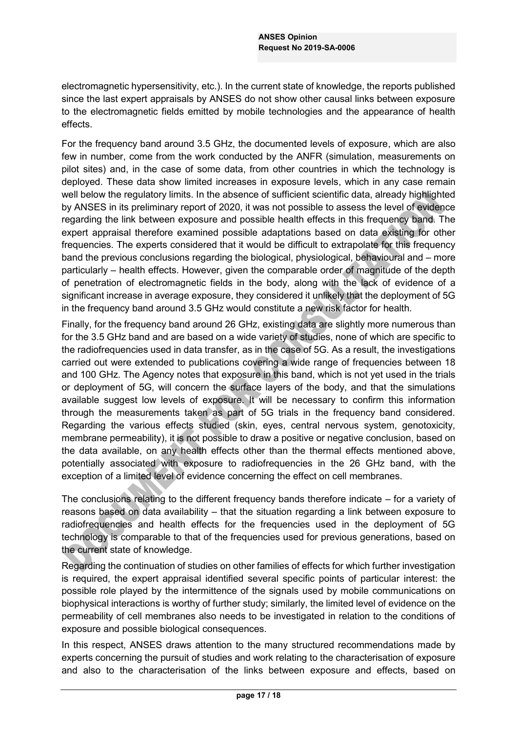electromagnetic hypersensitivity, etc.). In the current state of knowledge, the reports published since the last expert appraisals by ANSES do not show other causal links between exposure to the electromagnetic fields emitted by mobile technologies and the appearance of health effects.

For the frequency band around 3.5 GHz, the documented levels of exposure, which are also few in number, come from the work conducted by the ANFR (simulation, measurements on pilot sites) and, in the case of some data, from other countries in which the technology is deployed. These data show limited increases in exposure levels, which in any case remain well below the regulatory limits. In the absence of sufficient scientific data, already highlighted by ANSES in its preliminary report of 2020, it was not possible to assess the level of evidence regarding the link between exposure and possible health effects in this frequency band. The expert appraisal therefore examined possible adaptations based on data existing for other frequencies. The experts considered that it would be difficult to extrapolate for this frequency band the previous conclusions regarding the biological, physiological, behavioural and  $-$  more particularly – health effects. However, given the comparable order of magnitude of the depth of penetration of electromagnetic fields in the body, along with the lack of evidence of a significant increase in average exposure, they considered it unlikely that the deployment of 5G in the frequency band around 3.5 GHz would constitute a new risk factor for health.

Finally, for the frequency band around 26 GHz, existing data are slightly more numerous than for the 3.5 GHz band and are based on a wide variety of studies, none of which are specific to the radiofrequencies used in data transfer, as in the case of 5G. As a result, the investigations carried out were extended to publications covering a wide range of frequencies between 18 and 100 GHz. The Agency notes that exposure in this band, which is not yet used in the trials or deployment of 5G, will concern the surface layers of the body, and that the simulations available suggest low levels of exposure. It will be necessary to confirm this information through the measurements taken as part of 5G trials in the frequency band considered. Regarding the various effects studied (skin, eyes, central nervous system, genotoxicity, membrane permeability), it is not possible to draw a positive or negative conclusion, based on the data available, on any health effects other than the thermal effects mentioned above, potentially associated with exposure to radiofrequencies in the 26 GHz band, with the exception of a limited level of evidence concerning the effect on cell membranes.

The conclusions relating to the different frequency bands therefore indicate  $-$  for a variety of reasons based on data availability  $-$  that the situation regarding a link between exposure to radiofrequencies and health effects for the frequencies used in the deployment of 5G technology is comparable to that of the frequencies used for previous generations, based on the current state of knowledge.

Regarding the continuation of studies on other families of effects for which further investigation is required, the expert appraisal identified several specific points of particular interest: the possible role played by the intermittence of the signals used by mobile communications on biophysical interactions is worthy of further study; similarly, the limited level of evidence on the permeability of cell membranes also needs to be investigated in relation to the conditions of exposure and possible biological consequences.

In this respect, ANSES draws attention to the many structured recommendations made by experts concerning the pursuit of studies and work relating to the characterisation of exposure and also to the characterisation of the links between exposure and effects, based on